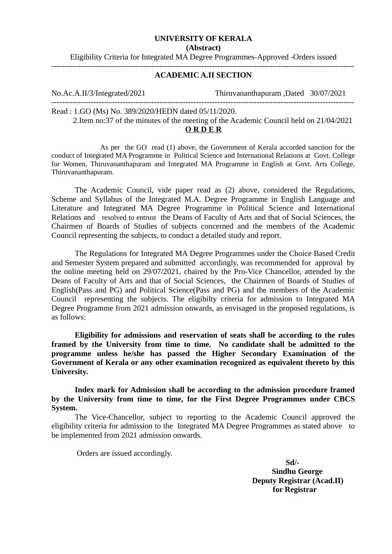## **UNIVERSITY OF KERALA**

**(Abstract)**

Eligibility Criteria for Integrated MA Degree Programmes-Approved -Orders issued -------------------------------------------------------------------------------------------------------------------

## **ACADEMIC A.II SECTION**

-------------------------------------------------------------------------------------------------------------------

No.Ac.A.II/3/Integrated/2021 Thiruvananthapuram ,Dated 30/07/2021

Read : 1.GO (Ms) No. 389/2020/HEDN dated 05/11/2020.

 2.Item no:37 of the minutes of the meeting of the Academic Council held on 21/04/2021 **O R D E R**

 As per the GO read (1) above, the Government of Kerala accorded sanction for the conduct of Integrated MA Programme in Political Science and International Relations at Govt. College for Women, Thiruvananthapuram and Integrated MA Programme in English at Govt. Arts College, Thiruvananthapuram.

The Academic Council, vide paper read as (2) above, considered the Regulations, Scheme and Syllabus of the Integrated M.A. Degree Programme in English Language and Literature and Integrated MA Degree Programme in Political Science and International Relations and resolved to entrust the Deans of Faculty of Arts and that of Social Sciences, the Chairmen of Boards of Studies of subjects concerned and the members of the Academic Council representing the subjects, to conduct a detailed study and report.

The Regulations for Integrated MA Degree Programmes under the Choice Based Credit and Semester System prepared and submitted accordingly, was recommended for approval by the online meeting held on 29/07/2021, chaired by the Pro-Vice Chancellor, attended by the Deans of Faculty of Arts and that of Social Sciences, the Chairmen of Boards of Studies of English(Pass and PG) and Political Science(Pass and PG) and the members of the Academic Council representing the subjects. The eligibilty criteria for admission to Integrated MA Degree Programme from 2021 admission onwards, as envisaged in the proposed regulations, is as follows:

**Eligibility for admissions and reservation of seats shall be according to the rules framed by the University from time to time. No candidate shall be admitted to the programme unless he/she has passed the Higher Secondary Examination of the Government of Kerala or any other examination recognized as equivalent thereto by this University.**

**Index mark for Admission shall be according to the admission procedure framed by the University from time to time, for the First Degree Programmes under CBCS System.**

 The Vice-Chancellor, subject to reporting to the Academic Council approved the eligibility criteria for admission to the Integrated MA Degree Programmes as stated above to be implemented from 2021 admission onwards.

Orders are issued accordingly.

 **Sd/- Sindhu George Deputy Registrar (Acad.II) for Registrar**